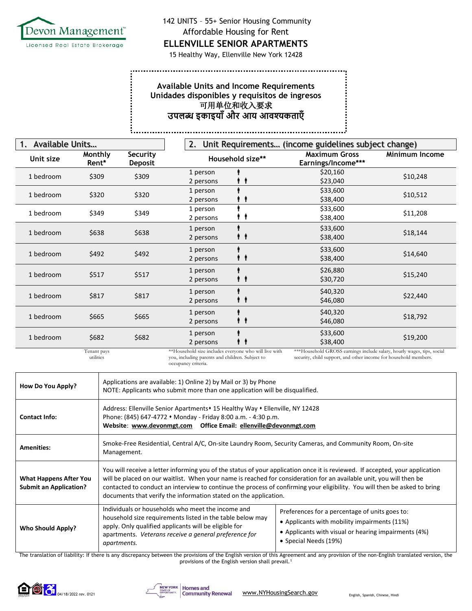

142 UNITS – 55+ Senior Housing Community Affordable Housing for Rent

**ELLENVILLE SENIOR APARTMENTS** 

15 Healthy Way, Ellenville New York 12428

## **Available Units and Income Requirements Unidades disponibles y requisitos de ingresos** 可用单位和收入要求 **उपलब्ध इकाइयााँऔर आय आवश्यकताएाँ**

| Available Units<br>1. |                          |                            | 2.                                                                                                                              | Unit Requirements (income guidelines subject change) |                                                                                                                                            |                       |
|-----------------------|--------------------------|----------------------------|---------------------------------------------------------------------------------------------------------------------------------|------------------------------------------------------|--------------------------------------------------------------------------------------------------------------------------------------------|-----------------------|
| Unit size             | Monthly<br>Rent*         | Security<br><b>Deposit</b> |                                                                                                                                 | Household size**                                     | <b>Maximum Gross</b><br>Earnings/Income***                                                                                                 | <b>Minimum Income</b> |
| 1 bedroom             | \$309                    | \$309                      | 1 person<br>2 persons                                                                                                           |                                                      | \$20,160<br>\$23,040                                                                                                                       | \$10,248              |
| 1 bedroom             | \$320                    | \$320                      | 1 person<br>2 persons                                                                                                           |                                                      | \$33,600<br>\$38,400                                                                                                                       | \$10,512              |
| 1 bedroom             | \$349                    | \$349                      | 1 person<br>2 persons                                                                                                           |                                                      | \$33,600<br>\$38,400                                                                                                                       | \$11,208              |
| 1 bedroom             | \$638                    | \$638                      | 1 person<br>2 persons                                                                                                           |                                                      | \$33,600<br>\$38,400                                                                                                                       | \$18,144              |
| 1 bedroom             | \$492                    | \$492                      | 1 person<br>2 persons                                                                                                           |                                                      | \$33,600<br>\$38,400                                                                                                                       | \$14,640              |
| 1 bedroom             | \$517                    | \$517                      | 1 person<br>2 persons                                                                                                           | . .                                                  | \$26,880<br>\$30,720                                                                                                                       | \$15,240              |
| 1 bedroom             | \$817                    | \$817                      | 1 person<br>2 persons                                                                                                           | . .                                                  | \$40,320<br>\$46,080                                                                                                                       | \$22,440              |
| 1 bedroom             | \$665                    | \$665                      | 1 person<br>2 persons                                                                                                           | 1 T                                                  | \$40,320<br>\$46,080                                                                                                                       | \$18,792              |
| 1 bedroom             | \$682                    | \$682                      | 1 person<br>2 persons                                                                                                           |                                                      | \$33,600<br>\$38,400                                                                                                                       | \$19,200              |
|                       | Tenant pays<br>utilities |                            | **Household size includes everyone who will live with<br>you, including parents and children. Subject to<br>occupancy criteria. |                                                      | ***Household GROSS earnings include salary, hourly wages, tips, social<br>security, child support, and other income for household members. |                       |

**How Do You Apply?** Applications are available: 1) Online 2) by Mail or 3) by Phone<br>MOTE Applications are available: 1) Online 2) by Mail or 3) by Phone NOTE: Applicants who submit more than one application will be disqualified. **Contact Info:** Address: Ellenville Senior Apartments • 15 Healthy Way • Ellenville, NY 12428 Phone: (845) 647-4772 ⬧ Monday - Friday 8:00 a.m. - 4:30 p.m. **Website**: **[www.devonmgt.com](http://www.devonmgt.com/) Office Email: [ellenville@devonmgt.com](mailto:ellenville@devonmgt.com) Amenities:** Smoke-Free Residential, Central A/C, On-site Laundry Room, Security Cameras, and Community Room, On-site Management. **What Happens After You Submit an Application?** You will receive a letter informing you of the status of your application once it is reviewed. If accepted, your application will be placed on our waitlist. When your name is reached for consideration for an available unit, you will then be contacted to conduct an interview to continue the process of confirming your eligibility. You will then be asked to bring documents that verify the information stated on the application. **Who Should Apply?** Individuals or households who meet the income and household size requirements listed in the table below may apply. Only qualified applicants will be eligible for apartments. *Veterans receive a general preference for apartments.* Preferences for a percentage of units goes to: • Applicants with mobility impairments (11%) • Applicants with visual or hearing impairments (4%) • Special Needs (19%)

The translation of liability: If there is any discrepancy between the provisions of the English version of this Agreement and any provision of the non-English translated version, the provisions of the English version shall prevail.<sup>1</sup>